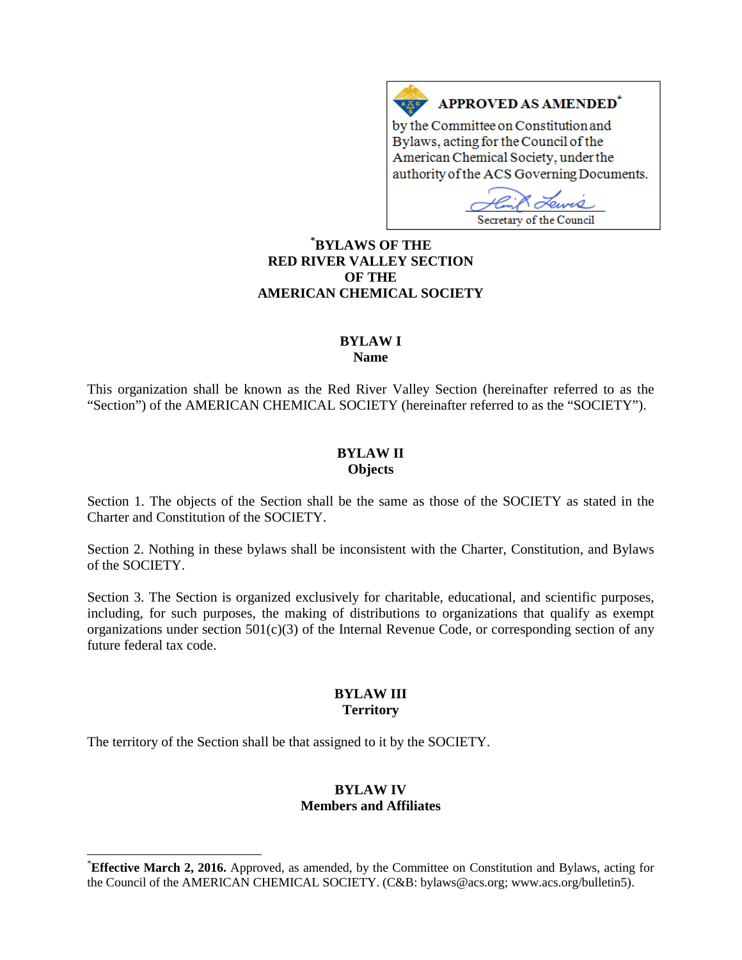# APPROVED AS AMENDED\*

by the Committee on Constitution and Bylaws, acting for the Council of the American Chemical Society, under the authority of the ACS Governing Documents.

Eures Secretary of the Council

## **[\\*](#page-0-0) BYLAWS OF THE RED RIVER VALLEY SECTION OF THE AMERICAN CHEMICAL SOCIETY**

## **BYLAW I**

**Name**

This organization shall be known as the Red River Valley Section (hereinafter referred to as the "Section") of the AMERICAN CHEMICAL SOCIETY (hereinafter referred to as the "SOCIETY").

#### **BYLAW II Objects**

Section 1. The objects of the Section shall be the same as those of the SOCIETY as stated in the Charter and Constitution of the SOCIETY.

Section 2. Nothing in these bylaws shall be inconsistent with the Charter, Constitution, and Bylaws of the SOCIETY.

Section 3. The Section is organized exclusively for charitable, educational, and scientific purposes, including, for such purposes, the making of distributions to organizations that qualify as exempt organizations under section  $501(c)(3)$  of the Internal Revenue Code, or corresponding section of any future federal tax code.

#### **BYLAW III Territory**

The territory of the Section shall be that assigned to it by the SOCIETY.

### **BYLAW IV Members and Affiliates**

<span id="page-0-0"></span>**Effective March 2, 2016.** Approved, as amended, by the Committee on Constitution and Bylaws, acting for the Council of the AMERICAN CHEMICAL SOCIETY. (C&B: bylaws@acs.org; www.acs.org/bulletin5).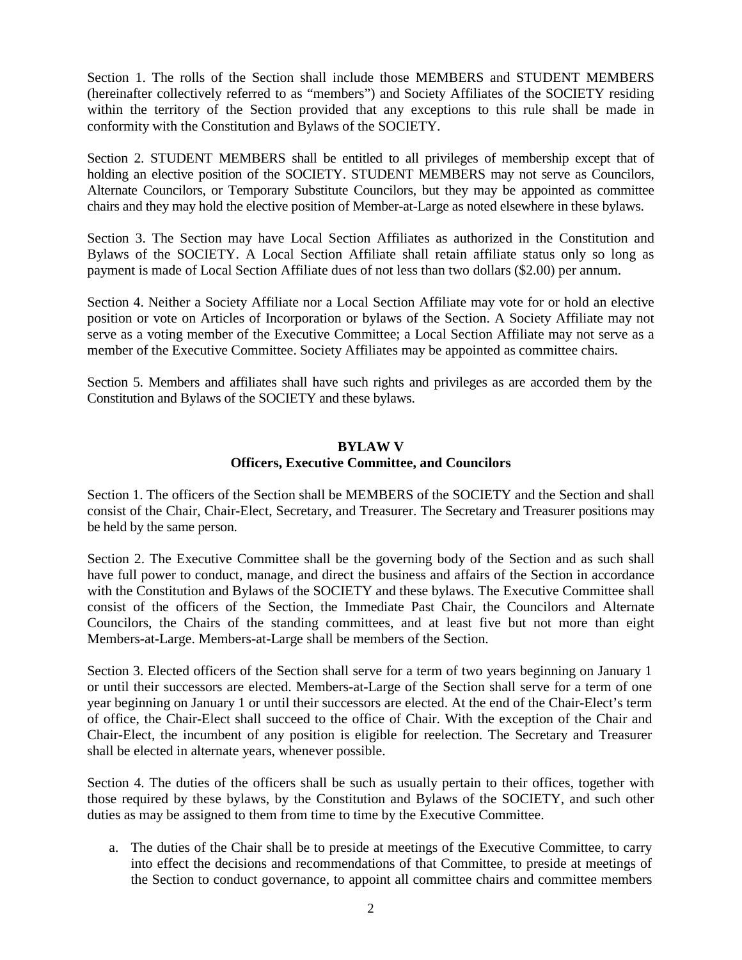Section 1. The rolls of the Section shall include those MEMBERS and STUDENT MEMBERS (hereinafter collectively referred to as "members") and Society Affiliates of the SOCIETY residing within the territory of the Section provided that any exceptions to this rule shall be made in conformity with the Constitution and Bylaws of the SOCIETY.

Section 2. STUDENT MEMBERS shall be entitled to all privileges of membership except that of holding an elective position of the SOCIETY. STUDENT MEMBERS may not serve as Councilors, Alternate Councilors, or Temporary Substitute Councilors, but they may be appointed as committee chairs and they may hold the elective position of Member-at-Large as noted elsewhere in these bylaws.

Section 3. The Section may have Local Section Affiliates as authorized in the Constitution and Bylaws of the SOCIETY. A Local Section Affiliate shall retain affiliate status only so long as payment is made of Local Section Affiliate dues of not less than two dollars (\$2.00) per annum.

Section 4. Neither a Society Affiliate nor a Local Section Affiliate may vote for or hold an elective position or vote on Articles of Incorporation or bylaws of the Section. A Society Affiliate may not serve as a voting member of the Executive Committee; a Local Section Affiliate may not serve as a member of the Executive Committee. Society Affiliates may be appointed as committee chairs.

Section 5. Members and affiliates shall have such rights and privileges as are accorded them by the Constitution and Bylaws of the SOCIETY and these bylaws.

#### **BYLAW V Officers, Executive Committee, and Councilors**

Section 1. The officers of the Section shall be MEMBERS of the SOCIETY and the Section and shall consist of the Chair, Chair-Elect, Secretary, and Treasurer. The Secretary and Treasurer positions may be held by the same person.

Section 2. The Executive Committee shall be the governing body of the Section and as such shall have full power to conduct, manage, and direct the business and affairs of the Section in accordance with the Constitution and Bylaws of the SOCIETY and these bylaws. The Executive Committee shall consist of the officers of the Section, the Immediate Past Chair, the Councilors and Alternate Councilors, the Chairs of the standing committees, and at least five but not more than eight Members-at-Large. Members-at-Large shall be members of the Section.

Section 3. Elected officers of the Section shall serve for a term of two years beginning on January 1 or until their successors are elected. Members-at-Large of the Section shall serve for a term of one year beginning on January 1 or until their successors are elected. At the end of the Chair-Elect's term of office, the Chair-Elect shall succeed to the office of Chair. With the exception of the Chair and Chair-Elect, the incumbent of any position is eligible for reelection. The Secretary and Treasurer shall be elected in alternate years, whenever possible.

Section 4. The duties of the officers shall be such as usually pertain to their offices, together with those required by these bylaws, by the Constitution and Bylaws of the SOCIETY, and such other duties as may be assigned to them from time to time by the Executive Committee.

a. The duties of the Chair shall be to preside at meetings of the Executive Committee, to carry into effect the decisions and recommendations of that Committee, to preside at meetings of the Section to conduct governance, to appoint all committee chairs and committee members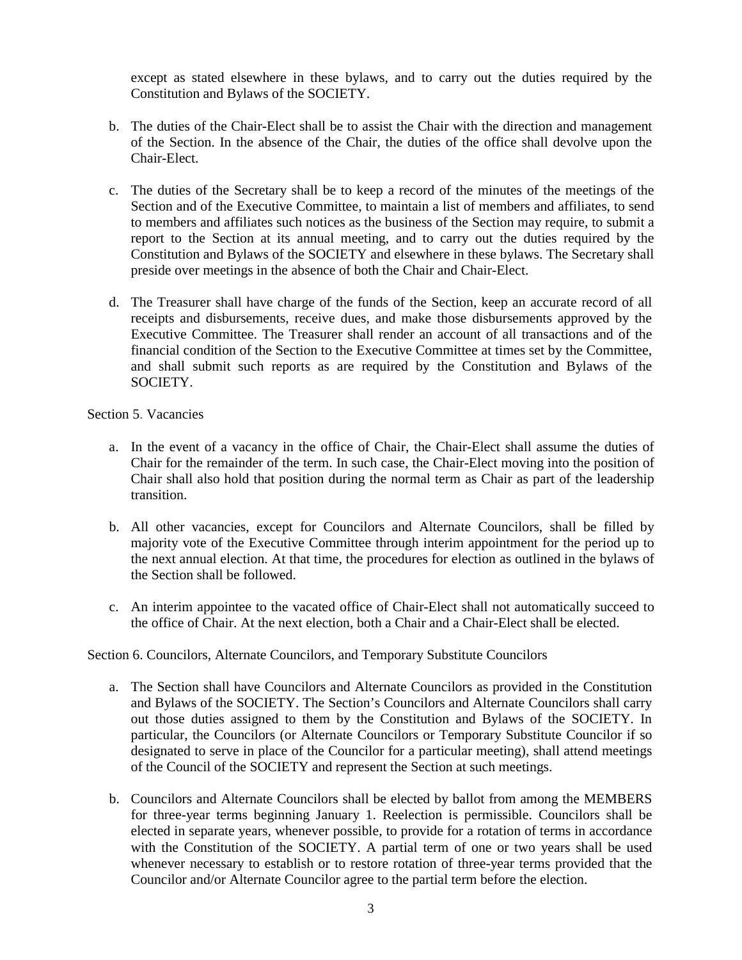except as stated elsewhere in these bylaws, and to carry out the duties required by the Constitution and Bylaws of the SOCIETY.

- b. The duties of the Chair-Elect shall be to assist the Chair with the direction and management of the Section. In the absence of the Chair, the duties of the office shall devolve upon the Chair-Elect.
- c. The duties of the Secretary shall be to keep a record of the minutes of the meetings of the Section and of the Executive Committee, to maintain a list of members and affiliates, to send to members and affiliates such notices as the business of the Section may require, to submit a report to the Section at its annual meeting, and to carry out the duties required by the Constitution and Bylaws of the SOCIETY and elsewhere in these bylaws. The Secretary shall preside over meetings in the absence of both the Chair and Chair-Elect.
- d. The Treasurer shall have charge of the funds of the Section, keep an accurate record of all receipts and disbursements, receive dues, and make those disbursements approved by the Executive Committee. The Treasurer shall render an account of all transactions and of the financial condition of the Section to the Executive Committee at times set by the Committee, and shall submit such reports as are required by the Constitution and Bylaws of the SOCIETY.

Section 5. Vacancies

- a. In the event of a vacancy in the office of Chair, the Chair-Elect shall assume the duties of Chair for the remainder of the term. In such case, the Chair-Elect moving into the position of Chair shall also hold that position during the normal term as Chair as part of the leadership transition.
- b. All other vacancies, except for Councilors and Alternate Councilors, shall be filled by majority vote of the Executive Committee through interim appointment for the period up to the next annual election. At that time, the procedures for election as outlined in the bylaws of the Section shall be followed.
- c. An interim appointee to the vacated office of Chair-Elect shall not automatically succeed to the office of Chair. At the next election, both a Chair and a Chair-Elect shall be elected.

Section 6. Councilors, Alternate Councilors, and Temporary Substitute Councilors

- a. The Section shall have Councilors and Alternate Councilors as provided in the Constitution and Bylaws of the SOCIETY. The Section's Councilors and Alternate Councilors shall carry out those duties assigned to them by the Constitution and Bylaws of the SOCIETY. In particular, the Councilors (or Alternate Councilors or Temporary Substitute Councilor if so designated to serve in place of the Councilor for a particular meeting), shall attend meetings of the Council of the SOCIETY and represent the Section at such meetings.
- b. Councilors and Alternate Councilors shall be elected by ballot from among the MEMBERS for three-year terms beginning January 1. Reelection is permissible. Councilors shall be elected in separate years, whenever possible, to provide for a rotation of terms in accordance with the Constitution of the SOCIETY. A partial term of one or two years shall be used whenever necessary to establish or to restore rotation of three-year terms provided that the Councilor and/or Alternate Councilor agree to the partial term before the election.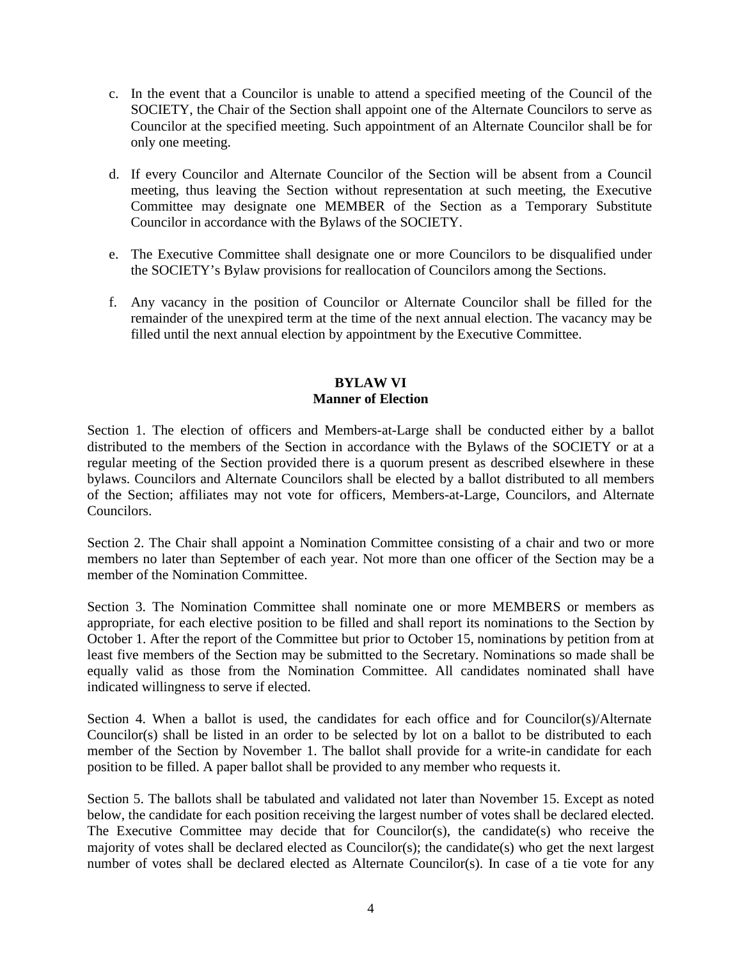- c. In the event that a Councilor is unable to attend a specified meeting of the Council of the SOCIETY, the Chair of the Section shall appoint one of the Alternate Councilors to serve as Councilor at the specified meeting. Such appointment of an Alternate Councilor shall be for only one meeting.
- d. If every Councilor and Alternate Councilor of the Section will be absent from a Council meeting, thus leaving the Section without representation at such meeting, the Executive Committee may designate one MEMBER of the Section as a Temporary Substitute Councilor in accordance with the Bylaws of the SOCIETY.
- e. The Executive Committee shall designate one or more Councilors to be disqualified under the SOCIETY's Bylaw provisions for reallocation of Councilors among the Sections.
- f. Any vacancy in the position of Councilor or Alternate Councilor shall be filled for the remainder of the unexpired term at the time of the next annual election. The vacancy may be filled until the next annual election by appointment by the Executive Committee.

## **BYLAW VI Manner of Election**

Section 1. The election of officers and Members-at-Large shall be conducted either by a ballot distributed to the members of the Section in accordance with the Bylaws of the SOCIETY or at a regular meeting of the Section provided there is a quorum present as described elsewhere in these bylaws. Councilors and Alternate Councilors shall be elected by a ballot distributed to all members of the Section; affiliates may not vote for officers, Members-at-Large, Councilors, and Alternate Councilors.

Section 2. The Chair shall appoint a Nomination Committee consisting of a chair and two or more members no later than September of each year. Not more than one officer of the Section may be a member of the Nomination Committee.

Section 3. The Nomination Committee shall nominate one or more MEMBERS or members as appropriate, for each elective position to be filled and shall report its nominations to the Section by October 1. After the report of the Committee but prior to October 15, nominations by petition from at least five members of the Section may be submitted to the Secretary. Nominations so made shall be equally valid as those from the Nomination Committee. All candidates nominated shall have indicated willingness to serve if elected.

Section 4. When a ballot is used, the candidates for each office and for Councilor(s)/Alternate Councilor(s) shall be listed in an order to be selected by lot on a ballot to be distributed to each member of the Section by November 1. The ballot shall provide for a write-in candidate for each position to be filled. A paper ballot shall be provided to any member who requests it.

Section 5. The ballots shall be tabulated and validated not later than November 15. Except as noted below, the candidate for each position receiving the largest number of votes shall be declared elected. The Executive Committee may decide that for Councilor(s), the candidate(s) who receive the majority of votes shall be declared elected as Councilor(s); the candidate(s) who get the next largest number of votes shall be declared elected as Alternate Councilor(s). In case of a tie vote for any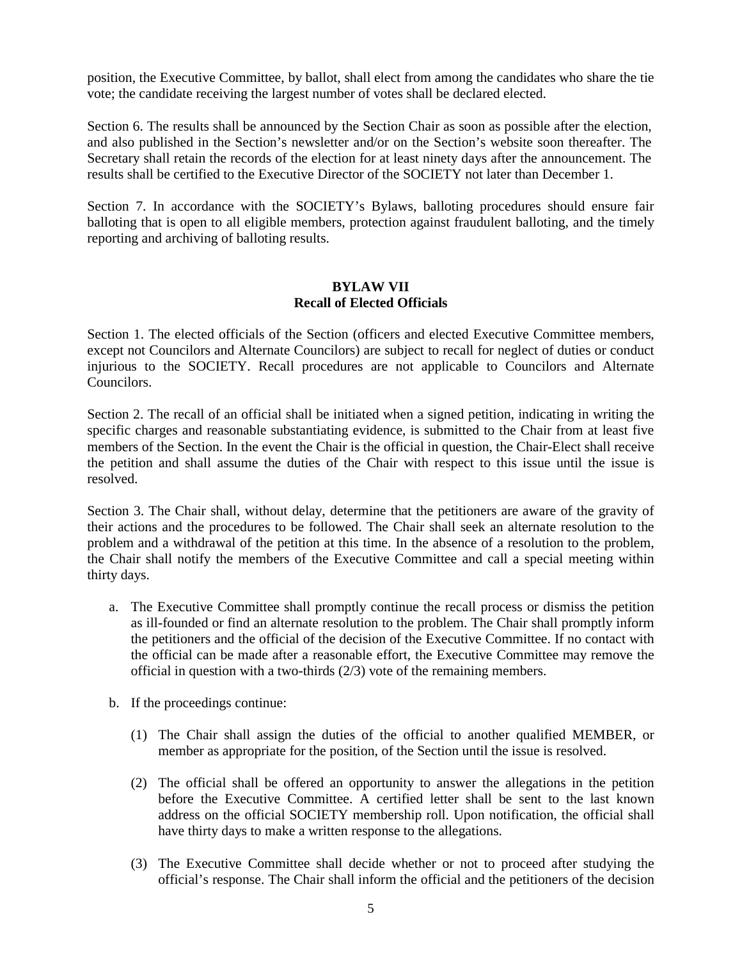position, the Executive Committee, by ballot, shall elect from among the candidates who share the tie vote; the candidate receiving the largest number of votes shall be declared elected.

Section 6. The results shall be announced by the Section Chair as soon as possible after the election, and also published in the Section's newsletter and/or on the Section's website soon thereafter. The Secretary shall retain the records of the election for at least ninety days after the announcement. The results shall be certified to the Executive Director of the SOCIETY not later than December 1.

Section 7. In accordance with the SOCIETY's Bylaws, balloting procedures should ensure fair balloting that is open to all eligible members, protection against fraudulent balloting, and the timely reporting and archiving of balloting results.

## **BYLAW VII Recall of Elected Officials**

Section 1. The elected officials of the Section (officers and elected Executive Committee members, except not Councilors and Alternate Councilors) are subject to recall for neglect of duties or conduct injurious to the SOCIETY. Recall procedures are not applicable to Councilors and Alternate Councilors.

Section 2. The recall of an official shall be initiated when a signed petition, indicating in writing the specific charges and reasonable substantiating evidence, is submitted to the Chair from at least five members of the Section. In the event the Chair is the official in question, the Chair-Elect shall receive the petition and shall assume the duties of the Chair with respect to this issue until the issue is resolved.

Section 3. The Chair shall, without delay, determine that the petitioners are aware of the gravity of their actions and the procedures to be followed. The Chair shall seek an alternate resolution to the problem and a withdrawal of the petition at this time. In the absence of a resolution to the problem, the Chair shall notify the members of the Executive Committee and call a special meeting within thirty days.

- a. The Executive Committee shall promptly continue the recall process or dismiss the petition as ill-founded or find an alternate resolution to the problem. The Chair shall promptly inform the petitioners and the official of the decision of the Executive Committee. If no contact with the official can be made after a reasonable effort, the Executive Committee may remove the official in question with a two-thirds (2/3) vote of the remaining members.
- b. If the proceedings continue:
	- (1) The Chair shall assign the duties of the official to another qualified MEMBER, or member as appropriate for the position, of the Section until the issue is resolved.
	- (2) The official shall be offered an opportunity to answer the allegations in the petition before the Executive Committee. A certified letter shall be sent to the last known address on the official SOCIETY membership roll. Upon notification, the official shall have thirty days to make a written response to the allegations.
	- (3) The Executive Committee shall decide whether or not to proceed after studying the official's response. The Chair shall inform the official and the petitioners of the decision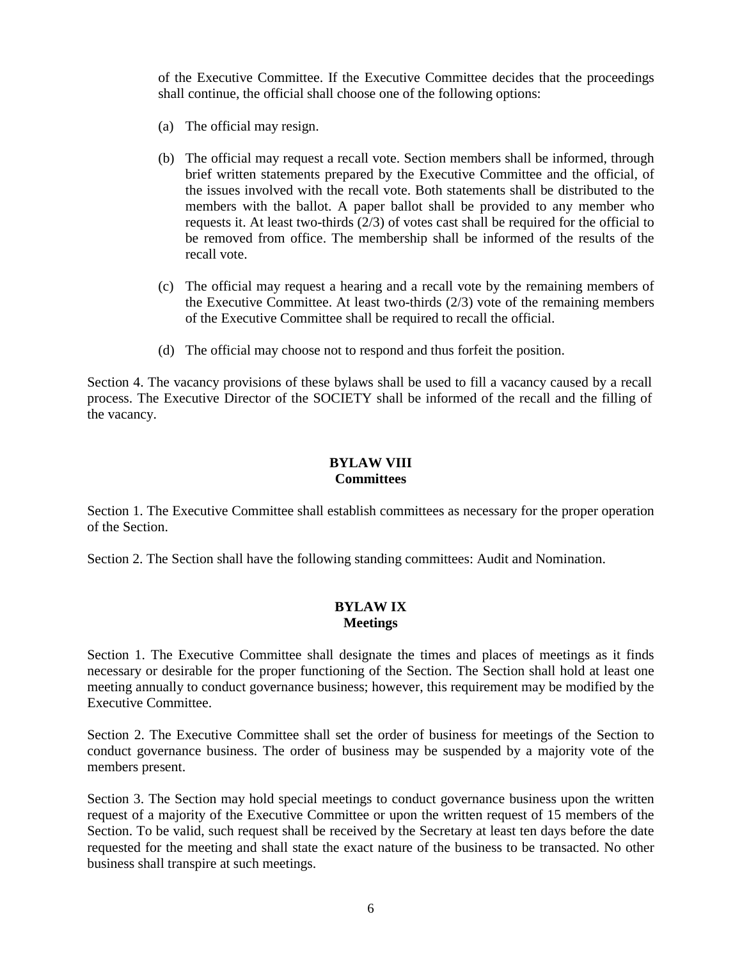of the Executive Committee. If the Executive Committee decides that the proceedings shall continue, the official shall choose one of the following options:

- (a) The official may resign.
- (b) The official may request a recall vote. Section members shall be informed, through brief written statements prepared by the Executive Committee and the official, of the issues involved with the recall vote. Both statements shall be distributed to the members with the ballot. A paper ballot shall be provided to any member who requests it. At least two-thirds (2/3) of votes cast shall be required for the official to be removed from office. The membership shall be informed of the results of the recall vote.
- (c) The official may request a hearing and a recall vote by the remaining members of the Executive Committee. At least two-thirds (2/3) vote of the remaining members of the Executive Committee shall be required to recall the official.
- (d) The official may choose not to respond and thus forfeit the position.

Section 4. The vacancy provisions of these bylaws shall be used to fill a vacancy caused by a recall process. The Executive Director of the SOCIETY shall be informed of the recall and the filling of the vacancy.

## **BYLAW VIII Committees**

Section 1. The Executive Committee shall establish committees as necessary for the proper operation of the Section.

Section 2. The Section shall have the following standing committees: Audit and Nomination.

## **BYLAW IX Meetings**

Section 1. The Executive Committee shall designate the times and places of meetings as it finds necessary or desirable for the proper functioning of the Section. The Section shall hold at least one meeting annually to conduct governance business; however, this requirement may be modified by the Executive Committee.

Section 2. The Executive Committee shall set the order of business for meetings of the Section to conduct governance business. The order of business may be suspended by a majority vote of the members present.

Section 3. The Section may hold special meetings to conduct governance business upon the written request of a majority of the Executive Committee or upon the written request of 15 members of the Section. To be valid, such request shall be received by the Secretary at least ten days before the date requested for the meeting and shall state the exact nature of the business to be transacted. No other business shall transpire at such meetings.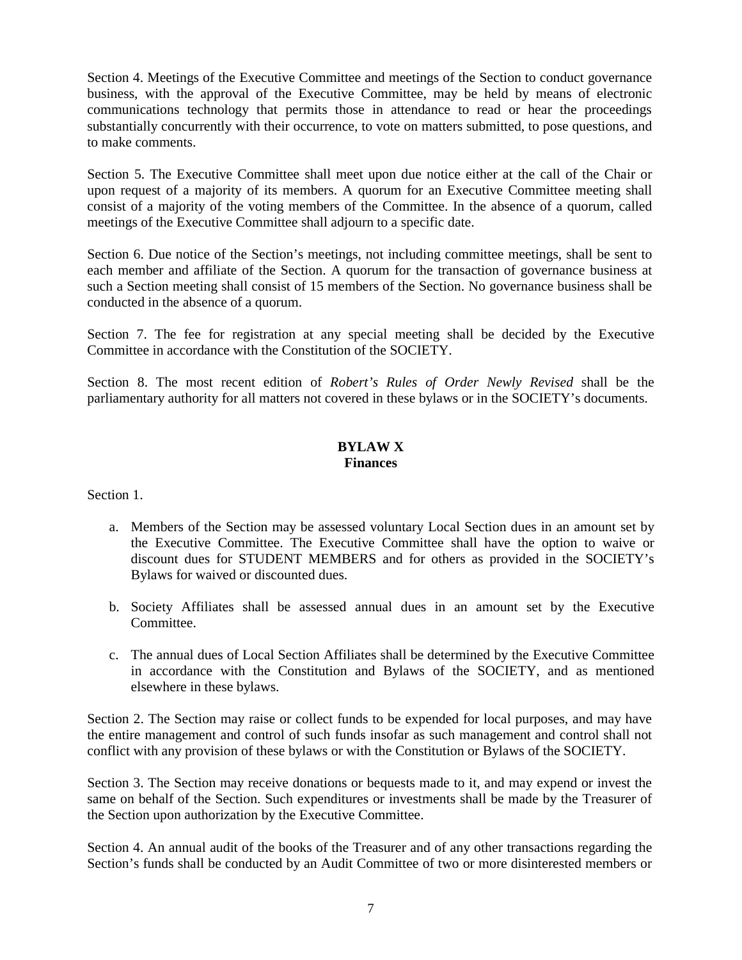Section 4. Meetings of the Executive Committee and meetings of the Section to conduct governance business, with the approval of the Executive Committee, may be held by means of electronic communications technology that permits those in attendance to read or hear the proceedings substantially concurrently with their occurrence, to vote on matters submitted, to pose questions, and to make comments.

Section 5. The Executive Committee shall meet upon due notice either at the call of the Chair or upon request of a majority of its members. A quorum for an Executive Committee meeting shall consist of a majority of the voting members of the Committee. In the absence of a quorum, called meetings of the Executive Committee shall adjourn to a specific date.

Section 6. Due notice of the Section's meetings, not including committee meetings, shall be sent to each member and affiliate of the Section. A quorum for the transaction of governance business at such a Section meeting shall consist of 15 members of the Section. No governance business shall be conducted in the absence of a quorum.

Section 7. The fee for registration at any special meeting shall be decided by the Executive Committee in accordance with the Constitution of the SOCIETY.

Section 8. The most recent edition of *Robert's Rules of Order Newly Revised* shall be the parliamentary authority for all matters not covered in these bylaws or in the SOCIETY's documents.

#### **BYLAW X Finances**

Section 1.

- a. Members of the Section may be assessed voluntary Local Section dues in an amount set by the Executive Committee. The Executive Committee shall have the option to waive or discount dues for STUDENT MEMBERS and for others as provided in the SOCIETY's Bylaws for waived or discounted dues.
- b. Society Affiliates shall be assessed annual dues in an amount set by the Executive Committee.
- c. The annual dues of Local Section Affiliates shall be determined by the Executive Committee in accordance with the Constitution and Bylaws of the SOCIETY, and as mentioned elsewhere in these bylaws.

Section 2. The Section may raise or collect funds to be expended for local purposes, and may have the entire management and control of such funds insofar as such management and control shall not conflict with any provision of these bylaws or with the Constitution or Bylaws of the SOCIETY.

Section 3. The Section may receive donations or bequests made to it, and may expend or invest the same on behalf of the Section. Such expenditures or investments shall be made by the Treasurer of the Section upon authorization by the Executive Committee.

Section 4. An annual audit of the books of the Treasurer and of any other transactions regarding the Section's funds shall be conducted by an Audit Committee of two or more disinterested members or